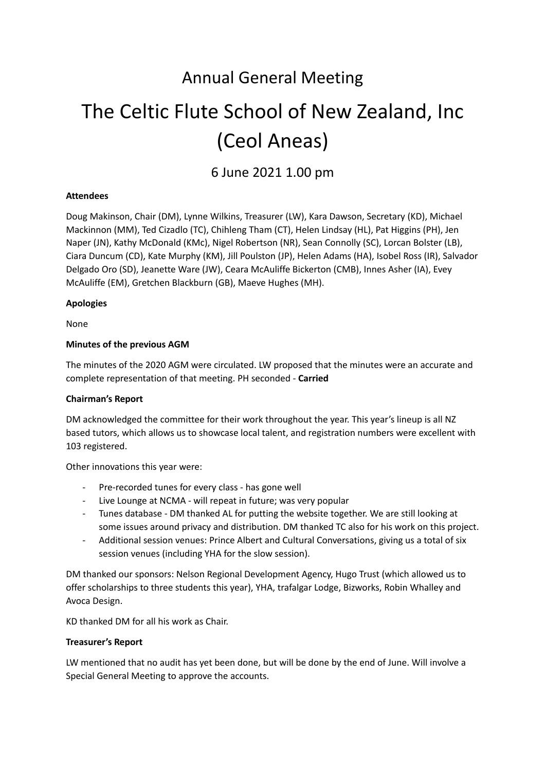# Annual General Meeting

# The Celtic Flute School of New Zealand, Inc (Ceol Aneas)

6 June 2021 1.00 pm

# **Attendees**

Doug Makinson, Chair (DM), Lynne Wilkins, Treasurer (LW), Kara Dawson, Secretary (KD), Michael Mackinnon (MM), Ted Cizadlo (TC), Chihleng Tham (CT), Helen Lindsay (HL), Pat Higgins (PH), Jen Naper (JN), Kathy McDonald (KMc), Nigel Robertson (NR), Sean Connolly (SC), Lorcan Bolster (LB), Ciara Duncum (CD), Kate Murphy (KM), Jill Poulston (JP), Helen Adams (HA), Isobel Ross (IR), Salvador Delgado Oro (SD), Jeanette Ware (JW), Ceara McAuliffe Bickerton (CMB), Innes Asher (IA), Evey McAuliffe (EM), Gretchen Blackburn (GB), Maeve Hughes (MH).

### **Apologies**

None

### **Minutes of the previous AGM**

The minutes of the 2020 AGM were circulated. LW proposed that the minutes were an accurate and complete representation of that meeting. PH seconded - **Carried**

# **Chairman's Report**

DM acknowledged the committee for their work throughout the year. This year's lineup is all NZ based tutors, which allows us to showcase local talent, and registration numbers were excellent with 103 registered.

Other innovations this year were:

- Pre-recorded tunes for every class has gone well
- Live Lounge at NCMA will repeat in future; was very popular
- Tunes database DM thanked AL for putting the website together. We are still looking at some issues around privacy and distribution. DM thanked TC also for his work on this project.
- Additional session venues: Prince Albert and Cultural Conversations, giving us a total of six session venues (including YHA for the slow session).

DM thanked our sponsors: Nelson Regional Development Agency, Hugo Trust (which allowed us to offer scholarships to three students this year), YHA, trafalgar Lodge, Bizworks, Robin Whalley and Avoca Design.

KD thanked DM for all his work as Chair.

#### **Treasurer's Report**

LW mentioned that no audit has yet been done, but will be done by the end of June. Will involve a Special General Meeting to approve the accounts.